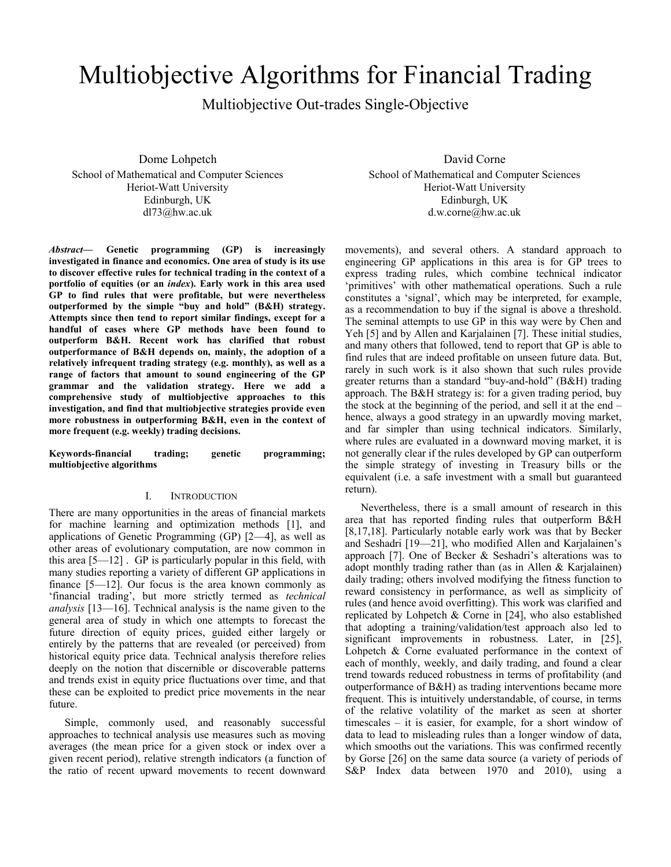# Multiobjective Algorithms for Financial Trading

Multiobjective Out-trades Single-Objective

Dome Lohpetch School of Mathematical and Computer Sciences Heriot-Watt University Edinburgh, UK dl73@hw.ac.uk

*Abstract***— Genetic programming (GP) is increasingly investigated in finance and economics. One area of study is its use to discover effective rules for technical trading in the context of a portfolio of equities (or an** *index***). Early work in this area used GP to find rules that were profitable, but were nevertheless outperformed by the simple "buy and hold" (B&H) strategy. Attempts since then tend to report similar findings, except for a handful of cases where GP methods have been found to outperform B&H. Recent work has clarified that robust outperformance of B&H depends on, mainly, the adoption of a relatively infrequent trading strategy (e.g. monthly), as well as a range of factors that amount to sound engineering of the GP grammar and the validation strategy. Here we add a comprehensive study of multiobjective approaches to this investigation, and find that multiobjective strategies provide even more robustness in outperforming B&H, even in the context of more frequent (e.g. weekly) trading decisions.** 

**Keywords-financial trading; genetic programming; multiobjective algorithms** 

### I. INTRODUCTION

There are many opportunities in the areas of financial markets for machine learning and optimization methods [1], and applications of Genetic Programming (GP) [2—4], as well as other areas of evolutionary computation, are now common in this area [5—12] . GP is particularly popular in this field, with many studies reporting a variety of different GP applications in finance [5—12]. Our focus is the area known commonly as 'financial trading', but more strictly termed as *technical analysis* [13—16]. Technical analysis is the name given to the general area of study in which one attempts to forecast the future direction of equity prices, guided either largely or entirely by the patterns that are revealed (or perceived) from historical equity price data. Technical analysis therefore relies deeply on the notion that discernible or discoverable patterns and trends exist in equity price fluctuations over time, and that these can be exploited to predict price movements in the near future.

Simple, commonly used, and reasonably successful approaches to technical analysis use measures such as moving averages (the mean price for a given stock or index over a given recent period), relative strength indicators (a function of the ratio of recent upward movements to recent downward

David Corne School of Mathematical and Computer Sciences Heriot-Watt University Edinburgh, UK d.w.corne@hw.ac.uk

movements), and several others. A standard approach to engineering GP applications in this area is for GP trees to express trading rules, which combine technical indicator 'primitives' with other mathematical operations. Such a rule constitutes a 'signal', which may be interpreted, for example, as a recommendation to buy if the signal is above a threshold. The seminal attempts to use GP in this way were by Chen and Yeh [5] and by Allen and Karjalainen [7]. These initial studies, and many others that followed, tend to report that GP is able to find rules that are indeed profitable on unseen future data. But, rarely in such work is it also shown that such rules provide greater returns than a standard "buy-and-hold" (B&H) trading approach. The B&H strategy is: for a given trading period, buy the stock at the beginning of the period, and sell it at the end – hence, always a good strategy in an upwardly moving market, and far simpler than using technical indicators. Similarly, where rules are evaluated in a downward moving market, it is not generally clear if the rules developed by GP can outperform the simple strategy of investing in Treasury bills or the equivalent (i.e. a safe investment with a small but guaranteed return).

Nevertheless, there is a small amount of research in this area that has reported finding rules that outperform B&H [8,17,18]. Particularly notable early work was that by Becker and Seshadri [19—21], who modified Allen and Karjalainen's approach [7]. One of Becker & Seshadri's alterations was to adopt monthly trading rather than (as in Allen & Karjalainen) daily trading; others involved modifying the fitness function to reward consistency in performance, as well as simplicity of rules (and hence avoid overfitting). This work was clarified and replicated by Lohpetch & Corne in [24], who also established that adopting a training/validation/test approach also led to significant improvements in robustness. Later, in [25], Lohpetch & Corne evaluated performance in the context of each of monthly, weekly, and daily trading, and found a clear trend towards reduced robustness in terms of profitability (and outperformance of B&H) as trading interventions became more frequent. This is intuitively understandable, of course, in terms of the relative volatility of the market as seen at shorter timescales – it is easier, for example, for a short window of data to lead to misleading rules than a longer window of data, which smooths out the variations. This was confirmed recently by Gorse [26] on the same data source (a variety of periods of S&P Index data between 1970 and 2010), using a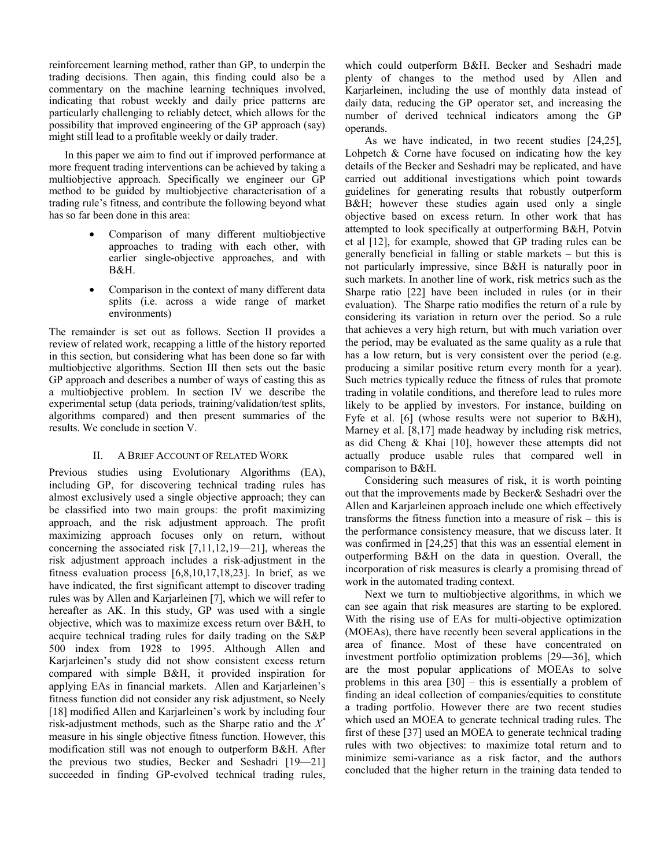reinforcement learning method, rather than GP, to underpin the trading decisions. Then again, this finding could also be a commentary on the machine learning techniques involved, indicating that robust weekly and daily price patterns are particularly challenging to reliably detect, which allows for the possibility that improved engineering of the GP approach (say) might still lead to a profitable weekly or daily trader.

In this paper we aim to find out if improved performance at more frequent trading interventions can be achieved by taking a multiobjective approach. Specifically we engineer our GP method to be guided by multiobjective characterisation of a trading rule's fitness, and contribute the following beyond what has so far been done in this area:

- Comparison of many different multiobjective approaches to trading with each other, with earlier single-objective approaches, and with B&H.
- Comparison in the context of many different data splits (i.e. across a wide range of market environments)

The remainder is set out as follows. Section II provides a review of related work, recapping a little of the history reported in this section, but considering what has been done so far with multiobjective algorithms. Section III then sets out the basic GP approach and describes a number of ways of casting this as a multiobjective problem. In section IV we describe the experimental setup (data periods, training/validation/test splits, algorithms compared) and then present summaries of the results. We conclude in section V.

# II. A BRIEF ACCOUNT OF RELATED WORK

Previous studies using Evolutionary Algorithms (EA), including GP, for discovering technical trading rules has almost exclusively used a single objective approach; they can be classified into two main groups: the profit maximizing approach, and the risk adjustment approach. The profit maximizing approach focuses only on return, without concerning the associated risk [7,11,12,19—21], whereas the risk adjustment approach includes a risk-adjustment in the fitness evaluation process [6,8,10,17,18,23]. In brief, as we have indicated, the first significant attempt to discover trading rules was by Allen and Karjarleinen [7], which we will refer to hereafter as AK. In this study, GP was used with a single objective, which was to maximize excess return over B&H, to acquire technical trading rules for daily trading on the S&P 500 index from 1928 to 1995. Although Allen and Karjarleinen's study did not show consistent excess return compared with simple B&H, it provided inspiration for applying EAs in financial markets. Allen and Karjarleinen's fitness function did not consider any risk adjustment, so Neely [18] modified Allen and Karjarleinen's work by including four risk-adjustment methods, such as the Sharpe ratio and the *X\** measure in his single objective fitness function. However, this modification still was not enough to outperform B&H. After the previous two studies, Becker and Seshadri [19—21] succeeded in finding GP-evolved technical trading rules,

which could outperform B&H. Becker and Seshadri made plenty of changes to the method used by Allen and Karjarleinen, including the use of monthly data instead of daily data, reducing the GP operator set, and increasing the number of derived technical indicators among the GP operands.

As we have indicated, in two recent studies [24,25], Lohpetch  $\&$  Corne have focused on indicating how the key details of the Becker and Seshadri may be replicated, and have carried out additional investigations which point towards guidelines for generating results that robustly outperform B&H; however these studies again used only a single objective based on excess return. In other work that has attempted to look specifically at outperforming B&H, Potvin et al [12], for example, showed that GP trading rules can be generally beneficial in falling or stable markets – but this is not particularly impressive, since B&H is naturally poor in such markets. In another line of work, risk metrics such as the Sharpe ratio [22] have been included in rules (or in their evaluation). The Sharpe ratio modifies the return of a rule by considering its variation in return over the period. So a rule that achieves a very high return, but with much variation over the period, may be evaluated as the same quality as a rule that has a low return, but is very consistent over the period (e.g. producing a similar positive return every month for a year). Such metrics typically reduce the fitness of rules that promote trading in volatile conditions, and therefore lead to rules more likely to be applied by investors. For instance, building on Fyfe et al. [6] (whose results were not superior to B&H), Marney et al. [8,17] made headway by including risk metrics, as did Cheng & Khai [10], however these attempts did not actually produce usable rules that compared well in comparison to B&H.

Considering such measures of risk, it is worth pointing out that the improvements made by Becker& Seshadri over the Allen and Karjarleinen approach include one which effectively transforms the fitness function into a measure of risk – this is the performance consistency measure, that we discuss later. It was confirmed in [24,25] that this was an essential element in outperforming B&H on the data in question. Overall, the incorporation of risk measures is clearly a promising thread of work in the automated trading context.

Next we turn to multiobjective algorithms, in which we can see again that risk measures are starting to be explored. With the rising use of EAs for multi-objective optimization (MOEAs), there have recently been several applications in the area of finance. Most of these have concentrated on investment portfolio optimization problems [29—36], which are the most popular applications of MOEAs to solve problems in this area [30] – this is essentially a problem of finding an ideal collection of companies/equities to constitute a trading portfolio. However there are two recent studies which used an MOEA to generate technical trading rules. The first of these [37] used an MOEA to generate technical trading rules with two objectives: to maximize total return and to minimize semi-variance as a risk factor, and the authors concluded that the higher return in the training data tended to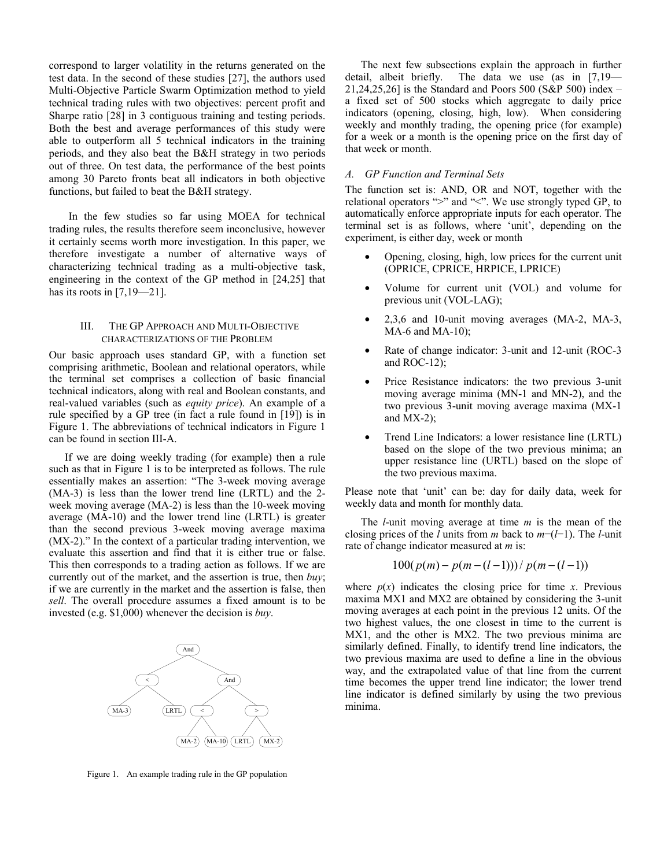correspond to larger volatility in the returns generated on the test data. In the second of these studies [27], the authors used Multi-Objective Particle Swarm Optimization method to yield technical trading rules with two objectives: percent profit and Sharpe ratio [28] in 3 contiguous training and testing periods. Both the best and average performances of this study were able to outperform all 5 technical indicators in the training periods, and they also beat the B&H strategy in two periods out of three. On test data, the performance of the best points among 30 Pareto fronts beat all indicators in both objective functions, but failed to beat the B&H strategy.

In the few studies so far using MOEA for technical trading rules, the results therefore seem inconclusive, however it certainly seems worth more investigation. In this paper, we therefore investigate a number of alternative ways of characterizing technical trading as a multi-objective task, engineering in the context of the GP method in [24,25] that has its roots in  $[7,19-21]$ .

# III. THE GP APPROACH AND MULTI-OBJECTIVE CHARACTERIZATIONS OF THE PROBLEM

Our basic approach uses standard GP, with a function set comprising arithmetic, Boolean and relational operators, while the terminal set comprises a collection of basic financial technical indicators, along with real and Boolean constants, and real-valued variables (such as *equity price*). An example of a rule specified by a GP tree (in fact a rule found in [19]) is in Figure 1. The abbreviations of technical indicators in Figure 1 can be found in section III-A.

If we are doing weekly trading (for example) then a rule such as that in Figure 1 is to be interpreted as follows. The rule essentially makes an assertion: "The 3-week moving average (MA-3) is less than the lower trend line (LRTL) and the 2 week moving average (MA-2) is less than the 10-week moving average (MA-10) and the lower trend line (LRTL) is greater than the second previous 3-week moving average maxima (MX-2)." In the context of a particular trading intervention, we evaluate this assertion and find that it is either true or false. This then corresponds to a trading action as follows. If we are currently out of the market, and the assertion is true, then *buy*; if we are currently in the market and the assertion is false, then *sell*. The overall procedure assumes a fixed amount is to be invested (e.g. \$1,000) whenever the decision is *buy*.



Figure 1. An example trading rule in the GP population

The next few subsections explain the approach in further detail, albeit briefly. The data we use (as in [7,19— 21,24,25,26] is the Standard and Poors 500 (S&P 500) index – a fixed set of 500 stocks which aggregate to daily price indicators (opening, closing, high, low). When considering weekly and monthly trading, the opening price (for example) for a week or a month is the opening price on the first day of that week or month.

# *A. GP Function and Terminal Sets*

The function set is: AND, OR and NOT, together with the relational operators ">" and "<". We use strongly typed GP, to automatically enforce appropriate inputs for each operator. The terminal set is as follows, where 'unit', depending on the experiment, is either day, week or month

- Opening, closing, high, low prices for the current unit (OPRICE, CPRICE, HRPICE, LPRICE)
- Volume for current unit (VOL) and volume for previous unit (VOL-LAG);
- 2,3,6 and 10-unit moving averages (MA-2, MA-3, MA-6 and MA-10);
- Rate of change indicator: 3-unit and 12-unit (ROC-3) and ROC-12);
- Price Resistance indicators: the two previous 3-unit moving average minima (MN-1 and MN-2), and the two previous 3-unit moving average maxima (MX-1 and  $MX-2$ );
- Trend Line Indicators: a lower resistance line (LRTL) based on the slope of the two previous minima; an upper resistance line (URTL) based on the slope of the two previous maxima.

Please note that 'unit' can be: day for daily data, week for weekly data and month for monthly data.

The *l*-unit moving average at time *m* is the mean of the closing prices of the *l* units from *m* back to *m*−(*l*−1). The *l*-unit rate of change indicator measured at *m* is:

$$
100(p(m) - p(m - (l-1))) / p(m - (l-1))
$$

where  $p(x)$  indicates the closing price for time *x*. Previous maxima MX1 and MX2 are obtained by considering the 3-unit moving averages at each point in the previous 12 units. Of the two highest values, the one closest in time to the current is MX1, and the other is MX2. The two previous minima are similarly defined. Finally, to identify trend line indicators, the two previous maxima are used to define a line in the obvious way, and the extrapolated value of that line from the current time becomes the upper trend line indicator; the lower trend line indicator is defined similarly by using the two previous minima.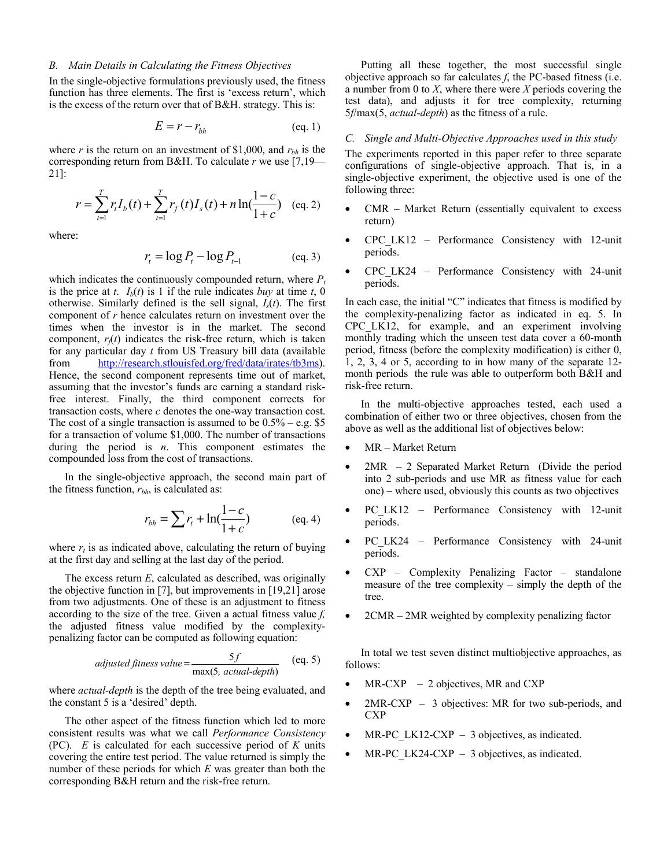#### *B. Main Details in Calculating the Fitness Objectives*

In the single-objective formulations previously used, the fitness function has three elements. The first is 'excess return', which is the excess of the return over that of B&H. strategy. This is:

$$
E = r - r_{bh} \tag{eq. 1}
$$

where *r* is the return on an investment of \$1,000, and  $r_{bh}$  is the corresponding return from B&H. To calculate *r* we use [7,19— 21]:

$$
r = \sum_{t=1}^{T} r_t I_b(t) + \sum_{t=1}^{T} r_f(t) I_s(t) + n \ln(\frac{1-c}{1+c}) \quad \text{(eq. 2)}
$$

where:

$$
r_t = \log P_t - \log P_{t-1} \tag{eq. 3}
$$

which indicates the continuously compounded return, where  $P_t$ is the price at *t*.  $I<sub>b</sub>(t)$  is 1 if the rule indicates *buy* at time *t*, 0 otherwise. Similarly defined is the sell signal,  $I_s(t)$ . The first component of *r* hence calculates return on investment over the times when the investor is in the market. The second component,  $r_f(t)$  indicates the risk-free return, which is taken for any particular day *t* from US Treasury bill data (available from http://research.stlouisfed.org/fred/data/irates/tb3ms). Hence, the second component represents time out of market, assuming that the investor's funds are earning a standard riskfree interest. Finally, the third component corrects for transaction costs, where *c* denotes the one-way transaction cost. The cost of a single transaction is assumed to be  $0.5% - e.g.$  \$5 for a transaction of volume \$1,000. The number of transactions during the period is *n*. This component estimates the compounded loss from the cost of transactions.

In the single-objective approach, the second main part of the fitness function,  $r_{bh}$ , is calculated as:

$$
r_{bh} = \sum r_t + \ln(\frac{1-c}{1+c})
$$
 (eq. 4)

where  $r<sub>t</sub>$  is as indicated above, calculating the return of buying at the first day and selling at the last day of the period.

The excess return *E*, calculated as described, was originally the objective function in [7], but improvements in [19,21] arose from two adjustments. One of these is an adjustment to fitness according to the size of the tree. Given a actual fitness value *f,*  the adjusted fitness value modified by the complexitypenalizing factor can be computed as following equation:

adjusted fitness value = 
$$
\frac{5f}{\max(5, actual-depth)} \quad (eq. 5)
$$

where *actual-depth* is the depth of the tree being evaluated, and the constant 5 is a 'desired' depth.

The other aspect of the fitness function which led to more consistent results was what we call *Performance Consistency* (PC). *E* is calculated for each successive period of *K* units covering the entire test period. The value returned is simply the number of these periods for which *E* was greater than both the corresponding B&H return and the risk-free return.

Putting all these together, the most successful single objective approach so far calculates *f*, the PC-based fitness (i.e. a number from 0 to *X*, where there were *X* periods covering the test data), and adjusts it for tree complexity, returning 5*f*/max(5, *actual-depth*) as the fitness of a rule.

#### *C. Single and Multi-Objective Approaches used in this study*

The experiments reported in this paper refer to three separate configurations of single-objective approach. That is, in a single-objective experiment, the objective used is one of the following three:

- CMR Market Return (essentially equivalent to excess return)
- CPC\_LK12 Performance Consistency with 12-unit periods.
- CPC\_LK24 Performance Consistency with 24-unit periods.

In each case, the initial "C" indicates that fitness is modified by the complexity-penalizing factor as indicated in eq. 5. In CPC LK12, for example, and an experiment involving monthly trading which the unseen test data cover a 60-month period, fitness (before the complexity modification) is either 0, 1, 2, 3, 4 or 5, according to in how many of the separate 12 month periods the rule was able to outperform both B&H and risk-free return.

In the multi-objective approaches tested, each used a combination of either two or three objectives, chosen from the above as well as the additional list of objectives below:

- MR Market Return
- $2MR 2$  Separated Market Return (Divide the period into 2 sub-periods and use MR as fitness value for each one) – where used, obviously this counts as two objectives
- PC\_LK12 Performance Consistency with 12-unit periods.
- PC\_LK24 Performance Consistency with 24-unit periods.
- CXP Complexity Penalizing Factor standalone measure of the tree complexity – simply the depth of the tree.
- 2CMR 2MR weighted by complexity penalizing factor

In total we test seven distinct multiobjective approaches, as follows:

- $MR-CXP 2$  objectives, MR and CXP
- 2MR-CXP 3 objectives: MR for two sub-periods, and CXP
- MR-PC\_LK12-CXP 3 objectives, as indicated.
- $MR-PC_LK24-CXP 3$  objectives, as indicated.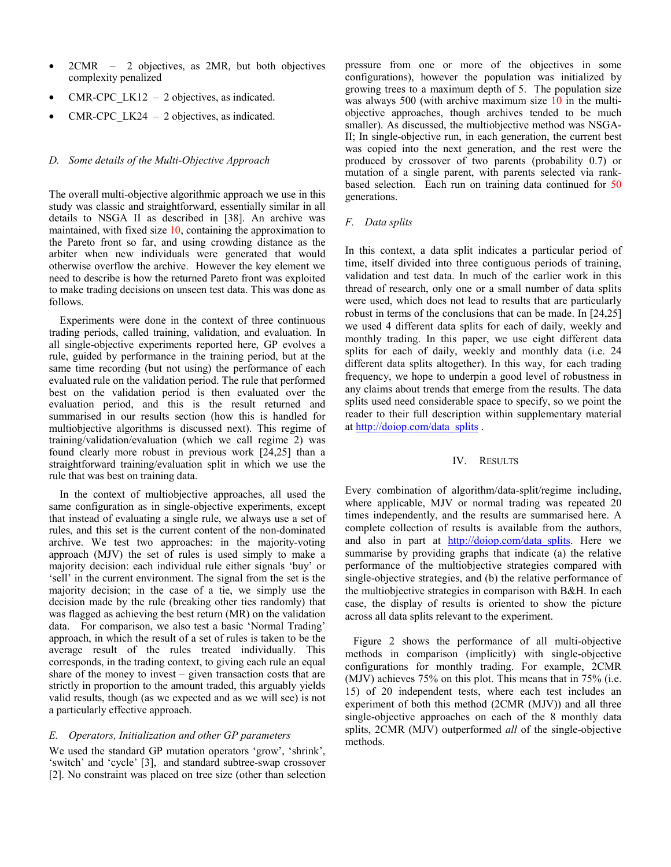- 2CMR 2 objectives, as 2MR, but both objectives complexity penalized
- CMR-CPC LK12 2 objectives, as indicated.
- CMR-CPC LK24 2 objectives, as indicated.

# *D. Some details of the Multi-Objective Approach*

The overall multi-objective algorithmic approach we use in this study was classic and straightforward, essentially similar in all details to NSGA II as described in [38]. An archive was maintained, with fixed size 10, containing the approximation to the Pareto front so far, and using crowding distance as the arbiter when new individuals were generated that would otherwise overflow the archive. However the key element we need to describe is how the returned Pareto front was exploited to make trading decisions on unseen test data. This was done as follows.

 Experiments were done in the context of three continuous trading periods, called training, validation, and evaluation. In all single-objective experiments reported here, GP evolves a rule, guided by performance in the training period, but at the same time recording (but not using) the performance of each evaluated rule on the validation period. The rule that performed best on the validation period is then evaluated over the evaluation period, and this is the result returned and summarised in our results section (how this is handled for multiobjective algorithms is discussed next). This regime of training/validation/evaluation (which we call regime 2) was found clearly more robust in previous work [24,25] than a straightforward training/evaluation split in which we use the rule that was best on training data.

 In the context of multiobjective approaches, all used the same configuration as in single-objective experiments, except that instead of evaluating a single rule, we always use a set of rules, and this set is the current content of the non-dominated archive. We test two approaches: in the majority-voting approach (MJV) the set of rules is used simply to make a majority decision: each individual rule either signals 'buy' or 'sell' in the current environment. The signal from the set is the majority decision; in the case of a tie, we simply use the decision made by the rule (breaking other ties randomly) that was flagged as achieving the best return (MR) on the validation data. For comparison, we also test a basic 'Normal Trading' approach, in which the result of a set of rules is taken to be the average result of the rules treated individually. This corresponds, in the trading context, to giving each rule an equal share of the money to invest – given transaction costs that are strictly in proportion to the amount traded, this arguably yields valid results, though (as we expected and as we will see) is not a particularly effective approach.

# *E. Operators, Initialization and other GP parameters*

We used the standard GP mutation operators 'grow', 'shrink', 'switch' and 'cycle' [3], and standard subtree-swap crossover [2]. No constraint was placed on tree size (other than selection pressure from one or more of the objectives in some configurations), however the population was initialized by growing trees to a maximum depth of 5. The population size was always 500 (with archive maximum size 10 in the multiobjective approaches, though archives tended to be much smaller). As discussed, the multiobjective method was NSGA-II; In single-objective run, in each generation, the current best was copied into the next generation, and the rest were the produced by crossover of two parents (probability 0.7) or mutation of a single parent, with parents selected via rankbased selection. Each run on training data continued for 50 generations.

### *F. Data splits*

In this context, a data split indicates a particular period of time, itself divided into three contiguous periods of training, validation and test data. In much of the earlier work in this thread of research, only one or a small number of data splits were used, which does not lead to results that are particularly robust in terms of the conclusions that can be made. In [24,25] we used 4 different data splits for each of daily, weekly and monthly trading. In this paper, we use eight different data splits for each of daily, weekly and monthly data (i.e. 24 different data splits altogether). In this way, for each trading frequency, we hope to underpin a good level of robustness in any claims about trends that emerge from the results. The data splits used need considerable space to specify, so we point the reader to their full description within supplementary material at http://doiop.com/data\_splits .

#### IV. RESULTS

Every combination of algorithm/data-split/regime including, where applicable, MJV or normal trading was repeated 20 times independently, and the results are summarised here. A complete collection of results is available from the authors, and also in part at http://doiop.com/data\_splits. Here we summarise by providing graphs that indicate (a) the relative performance of the multiobjective strategies compared with single-objective strategies, and (b) the relative performance of the multiobjective strategies in comparison with B&H. In each case, the display of results is oriented to show the picture across all data splits relevant to the experiment.

 Figure 2 shows the performance of all multi-objective methods in comparison (implicitly) with single-objective configurations for monthly trading. For example, 2CMR (MJV) achieves 75% on this plot. This means that in 75% (i.e. 15) of 20 independent tests, where each test includes an experiment of both this method (2CMR (MJV)) and all three single-objective approaches on each of the 8 monthly data splits, 2CMR (MJV) outperformed *all* of the single-objective methods.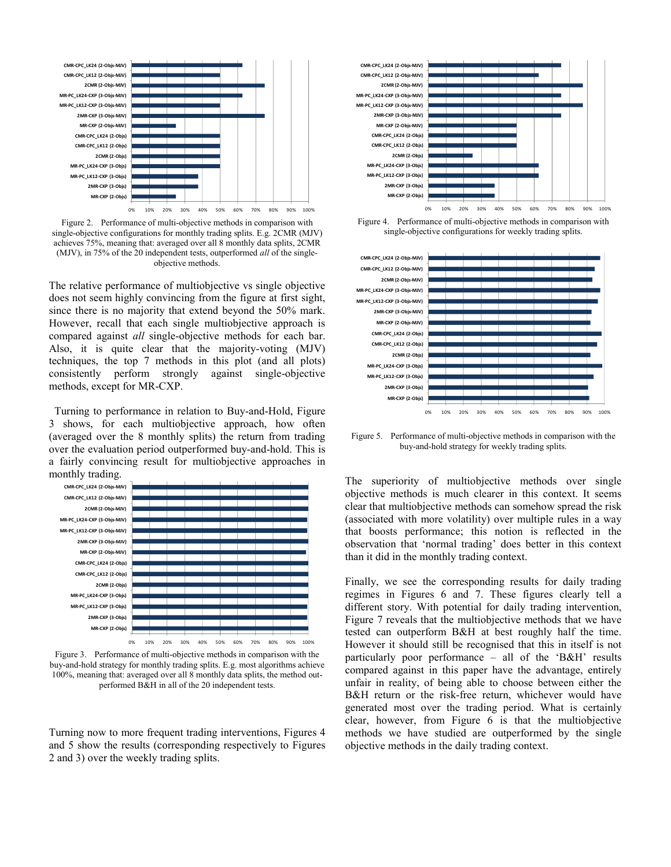

Figure 2. Performance of multi-objective methods in comparison with single-objective configurations for monthly trading splits. E.g. 2CMR (MJV) achieves 75%, meaning that: averaged over all 8 monthly data splits, 2CMR (MJV), in 75% of the 20 independent tests, outperformed *all* of the singleobjective methods.

The relative performance of multiobjective vs single objective does not seem highly convincing from the figure at first sight, since there is no majority that extend beyond the 50% mark. However, recall that each single multiobjective approach is compared against *all* single-objective methods for each bar. Also, it is quite clear that the majority-voting (MJV) techniques, the top 7 methods in this plot (and all plots) consistently perform strongly against single-objective methods, except for MR-CXP.

 Turning to performance in relation to Buy-and-Hold, Figure 3 shows, for each multiobjective approach, how often (averaged over the 8 monthly splits) the return from trading over the evaluation period outperformed buy-and-hold. This is a fairly convincing result for multiobjective approaches in monthly trading.



Figure 3. Performance of multi-objective methods in comparison with the buy-and-hold strategy for monthly trading splits. E.g. most algorithms achieve 100%, meaning that: averaged over all 8 monthly data splits, the method outperformed B&H in all of the 20 independent tests.

Turning now to more frequent trading interventions, Figures 4 and 5 show the results (corresponding respectively to Figures 2 and 3) over the weekly trading splits.



Figure 4. Performance of multi-objective methods in comparison with single-objective configurations for weekly trading splits.



Figure 5. Performance of multi-objective methods in comparison with the buy-and-hold strategy for weekly trading splits.

The superiority of multiobjective methods over single objective methods is much clearer in this context. It seems clear that multiobjective methods can somehow spread the risk (associated with more volatility) over multiple rules in a way that boosts performance; this notion is reflected in the observation that 'normal trading' does better in this context than it did in the monthly trading context.

Finally, we see the corresponding results for daily trading regimes in Figures 6 and 7. These figures clearly tell a different story. With potential for daily trading intervention, Figure 7 reveals that the multiobjective methods that we have tested can outperform B&H at best roughly half the time. However it should still be recognised that this in itself is not particularly poor performance – all of the 'B&H' results compared against in this paper have the advantage, entirely unfair in reality, of being able to choose between either the B&H return or the risk-free return, whichever would have generated most over the trading period. What is certainly clear, however, from Figure 6 is that the multiobjective methods we have studied are outperformed by the single objective methods in the daily trading context.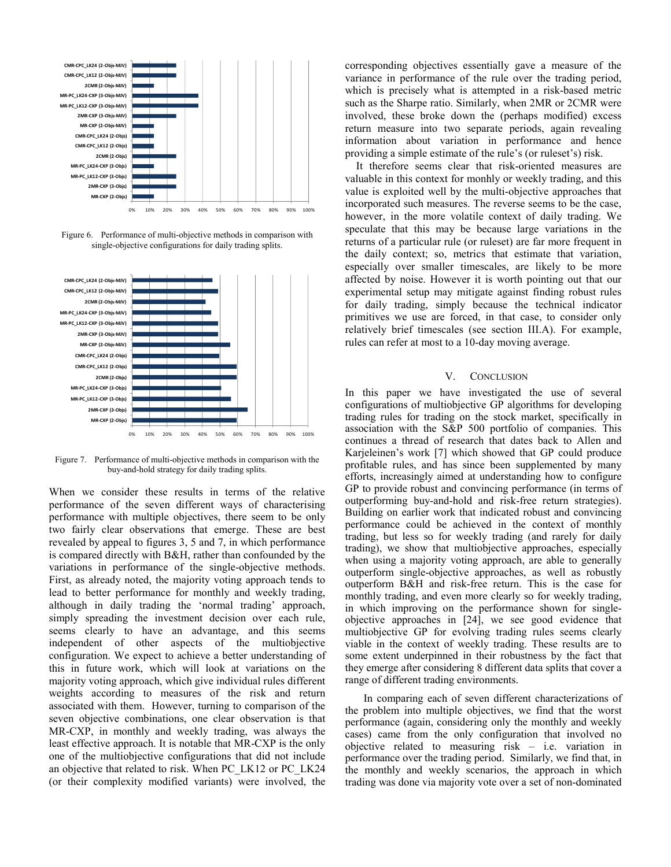

Figure 6. Performance of multi-objective methods in comparison with single-objective configurations for daily trading splits.



Figure 7. Performance of multi-objective methods in comparison with the buy-and-hold strategy for daily trading splits.

When we consider these results in terms of the relative performance of the seven different ways of characterising performance with multiple objectives, there seem to be only two fairly clear observations that emerge. These are best revealed by appeal to figures 3, 5 and 7, in which performance is compared directly with B&H, rather than confounded by the variations in performance of the single-objective methods. First, as already noted, the majority voting approach tends to lead to better performance for monthly and weekly trading, although in daily trading the 'normal trading' approach, simply spreading the investment decision over each rule, seems clearly to have an advantage, and this seems independent of other aspects of the multiobjective configuration. We expect to achieve a better understanding of this in future work, which will look at variations on the majority voting approach, which give individual rules different weights according to measures of the risk and return associated with them. However, turning to comparison of the seven objective combinations, one clear observation is that MR-CXP, in monthly and weekly trading, was always the least effective approach. It is notable that MR-CXP is the only one of the multiobjective configurations that did not include an objective that related to risk. When PC\_LK12 or PC\_LK24 (or their complexity modified variants) were involved, the

corresponding objectives essentially gave a measure of the variance in performance of the rule over the trading period, which is precisely what is attempted in a risk-based metric such as the Sharpe ratio. Similarly, when 2MR or 2CMR were involved, these broke down the (perhaps modified) excess return measure into two separate periods, again revealing information about variation in performance and hence providing a simple estimate of the rule's (or ruleset's) risk.

 It therefore seems clear that risk-oriented measures are valuable in this context for monhly or weekly trading, and this value is exploited well by the multi-objective approaches that incorporated such measures. The reverse seems to be the case, however, in the more volatile context of daily trading. We speculate that this may be because large variations in the returns of a particular rule (or ruleset) are far more frequent in the daily context; so, metrics that estimate that variation, especially over smaller timescales, are likely to be more affected by noise. However it is worth pointing out that our experimental setup may mitigate against finding robust rules for daily trading, simply because the technical indicator primitives we use are forced, in that case, to consider only relatively brief timescales (see section III.A). For example, rules can refer at most to a 10-day moving average.

#### V. CONCLUSION

In this paper we have investigated the use of several configurations of multiobjective GP algorithms for developing trading rules for trading on the stock market, specifically in association with the S&P 500 portfolio of companies. This continues a thread of research that dates back to Allen and Karjeleinen's work [7] which showed that GP could produce profitable rules, and has since been supplemented by many efforts, increasingly aimed at understanding how to configure GP to provide robust and convincing performance (in terms of outperforming buy-and-hold and risk-free return strategies). Building on earlier work that indicated robust and convincing performance could be achieved in the context of monthly trading, but less so for weekly trading (and rarely for daily trading), we show that multiobjective approaches, especially when using a majority voting approach, are able to generally outperform single-objective approaches, as well as robustly outperform B&H and risk-free return. This is the case for monthly trading, and even more clearly so for weekly trading, in which improving on the performance shown for singleobjective approaches in [24], we see good evidence that multiobjective GP for evolving trading rules seems clearly viable in the context of weekly trading. These results are to some extent underpinned in their robustness by the fact that they emerge after considering 8 different data splits that cover a range of different trading environments.

 In comparing each of seven different characterizations of the problem into multiple objectives, we find that the worst performance (again, considering only the monthly and weekly cases) came from the only configuration that involved no objective related to measuring risk – i.e. variation in performance over the trading period. Similarly, we find that, in the monthly and weekly scenarios, the approach in which trading was done via majority vote over a set of non-dominated